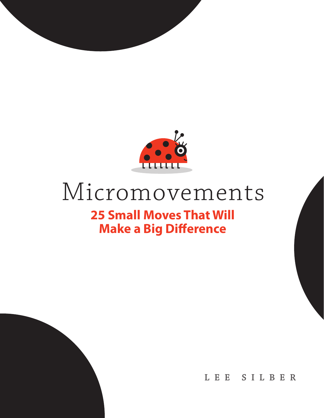

#### Micromovements **25 Small Moves That Will Make a Big Difference**

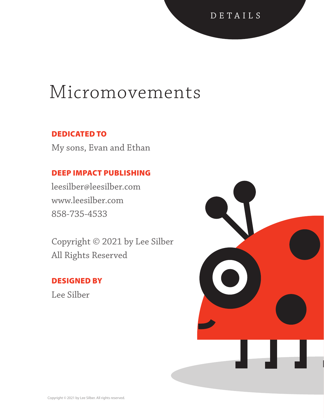#### Micromovements

#### DEDICATED TO

My sons, Evan and Ethan

#### DEEP IMPACT PUBLISHING

leesilber@leesilber.com www.leesilber.com 858-735-4533

Copyright © 2021 by Lee Silber All Rights Reserved

#### DESIGNED BY

Lee Silber

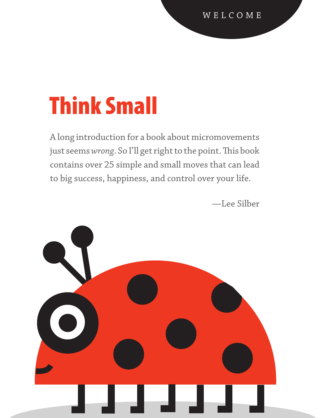# Think Small

A long introduction for a book about micromovements just seems *wrong*. So I'll get right to the point. This book contains over 25 simple and small moves that can lead to big success, happiness, and control over your life.

—Lee Silber

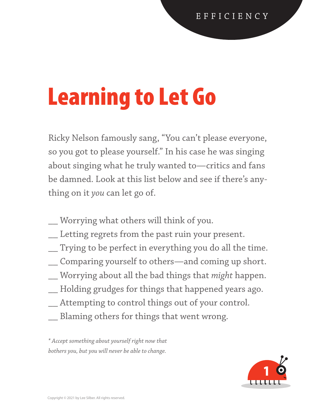# Learning to Let Go

Ricky Nelson famously sang, "You can't please everyone, so you got to please yourself." In his case he was singing about singing what he truly wanted to—critics and fans be damned. Look at this list below and see if there's anything on it *you* can let go of.

- \_\_ Worrying what others will think of you.
- \_\_ Letting regrets from the past ruin your present.
- \_\_ Trying to be perfect in everything you do all the time.
- \_\_ Comparing yourself to others—and coming up short.
- \_\_ Worrying about all the bad things that *might* happen.
- \_\_ Holding grudges for things that happened years ago.
- \_\_ Attempting to control things out of your control.
- \_\_ Blaming others for things that went wrong.

*\* Accept something about yourself right now that bothers you, but you will never be able to change.*

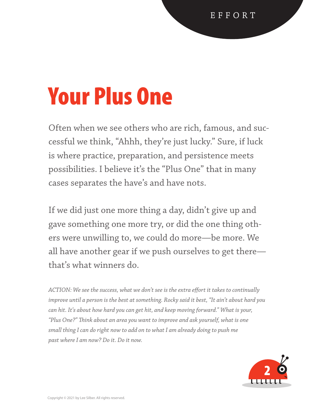#### Your Plus One

Often when we see others who are rich, famous, and successful we think, "Ahhh, they're just lucky." Sure, if luck is where practice, preparation, and persistence meets possibilities. I believe it's the "Plus One" that in many cases separates the have's and have nots.

If we did just one more thing a day, didn't give up and gave something one more try, or did the one thing others were unwilling to, we could do more—be more. We all have another gear if we push ourselves to get there that's what winners do.

*ACTION: We see the success, what we don't see is the extra effort it takes to continually improve until a person is the best at something. Rocky said it best, "It ain't about hard you can hit. It's about how hard you can get hit, and keep moving forward." What is your, "Plus One?" Think about an area you want to improve and ask yourself, what is one small thing I can do right now to add on to what I am already doing to push me past where I am now? Do it. Do it now.* 

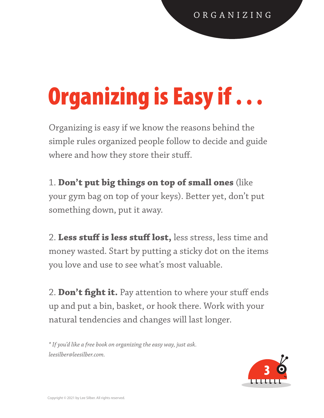# Organizing is Easy if . . .

Organizing is easy if we know the reasons behind the simple rules organized people follow to decide and guide where and how they store their stuff.

1. **Don't put big things on top of small ones** (like your gym bag on top of your keys). Better yet, don't put something down, put it away.

2. **Less stuff is less stuff lost,** less stress, less time and money wasted. Start by putting a sticky dot on the items you love and use to see what's most valuable.

2. **Don't fight it.** Pay attention to where your stuff ends up and put a bin, basket, or hook there. Work with your natural tendencies and changes will last longer.

*\* If you'd like a free book on organizing the easy way, just ask. leesilber@leesilber.com.*

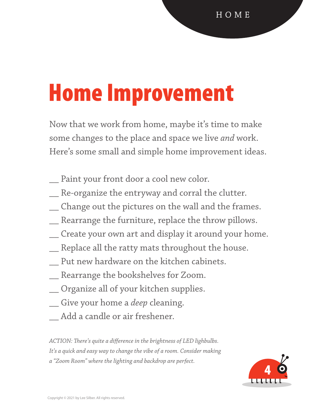### Home Improvement

Now that we work from home, maybe it's time to make some changes to the place and space we live *and* work. Here's some small and simple home improvement ideas.

- \_\_ Paint your front door a cool new color.
- \_\_ Re-organize the entryway and corral the clutter.
- \_\_ Change out the pictures on the wall and the frames.
- \_\_ Rearrange the furniture, replace the throw pillows.
- \_\_ Create your own art and display it around your home.
- \_\_ Replace all the ratty mats throughout the house.
- \_\_ Put new hardware on the kitchen cabinets.
- \_\_ Rearrange the bookshelves for Zoom.
- \_\_ Organize all of your kitchen supplies.
- \_\_ Give your home a *deep* cleaning.
- \_\_ Add a candle or air freshener.

*ACTION: There's quite a difference in the brightness of LED lighbulbs. It's a quick and easy way to change the vibe of a room. Consider making a "Zoom Room" where the lighting and backdrop are perfect.*

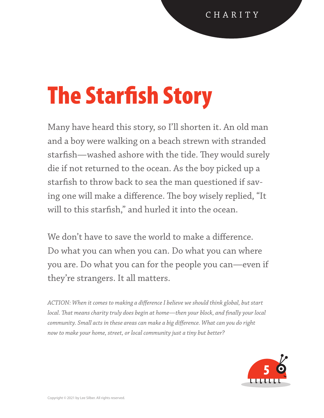# The Starfish Story

Many have heard this story, so I'll shorten it. An old man and a boy were walking on a beach strewn with stranded starfish—washed ashore with the tide. They would surely die if not returned to the ocean. As the boy picked up a starfish to throw back to sea the man questioned if saving one will make a difference. The boy wisely replied, "It will to this starfish," and hurled it into the ocean.

We don't have to save the world to make a difference. Do what you can when you can. Do what you can where you are. Do what you can for the people you can—even if they're strangers. It all matters.

*ACTION: When it comes to making a difference I believe we should think global, but start local. That means charity truly does begin at home—then your block, and finally your local community. Small acts in these areas can make a big difference. What can you do right now to make your home, street, or local community just a tiny but better?* 

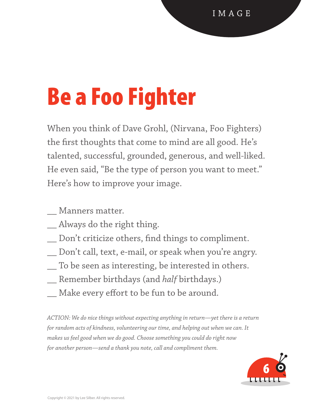# Be a Foo Fighter

When you think of Dave Grohl, (Nirvana, Foo Fighters) the first thoughts that come to mind are all good. He's talented, successful, grounded, generous, and well-liked. He even said, "Be the type of person you want to meet." Here's how to improve your image.

- \_\_ Manners matter.
- \_\_ Always do the right thing.
- \_\_ Don't criticize others, find things to compliment.
- \_\_ Don't call, text, e-mail, or speak when you're angry.
- \_\_ To be seen as interesting, be interested in others.
- \_\_ Remember birthdays (and *half* birthdays.)
- \_\_ Make every effort to be fun to be around.

*ACTION: We do nice things without expecting anything in return—yet there is a return for random acts of kindness, volunteering our time, and helping out when we can. It makes us feel good when we do good. Choose something you could do right now for another person—send a thank you note, call and compliment them.* 

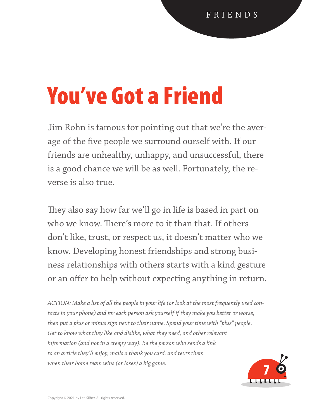#### You've Got a Friend

Jim Rohn is famous for pointing out that we're the average of the five people we surround ourself with. If our friends are unhealthy, unhappy, and unsuccessful, there is a good chance we will be as well. Fortunately, the reverse is also true.

They also say how far we'll go in life is based in part on who we know. There's more to it than that. If others don't like, trust, or respect us, it doesn't matter who we know. Developing honest friendships and strong business relationships with others starts with a kind gesture or an offer to help without expecting anything in return.

*ACTION: Make a list of all the people in your life (or look at the most frequently used contacts in your phone) and for each person ask yourself if they make you better or worse, then put a plus or minus sign next to their name. Spend your time with "plus" people. Get to know what they like and dislike, what they need, and other relevant information (and not in a creepy way). Be the person who sends a link to an article they'll enjoy, mails a thank you card, and texts them when their home team wins (or loses) a big game.*  when their nome team wins (or loses) a big game.

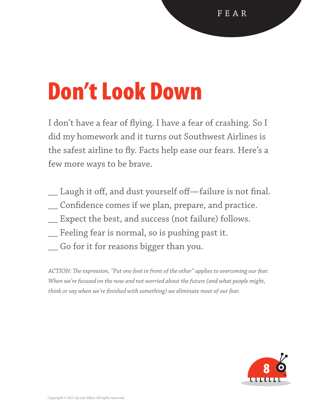### Don't Look Down

I don't have a fear of flying. I have a fear of crashing. So I did my homework and it turns out Southwest Airlines is the safest airline to fly. Facts help ease our fears. Here's a few more ways to be brave.

- \_\_ Laugh it off, and dust yourself off—failure is not final.
- \_\_ Confidence comes if we plan, prepare, and practice.
- \_\_ Expect the best, and success (not failure) follows.
- \_\_ Feeling fear is normal, so is pushing past it.
- \_\_ Go for it for reasons bigger than you.

*ACTION: The expression, "Put one foot in front of the other" applies to overcoming our fear. When we're focused on the now and not worried about the future (and what people might, think or say when we're finished with something) we eliminate most of our fear.*

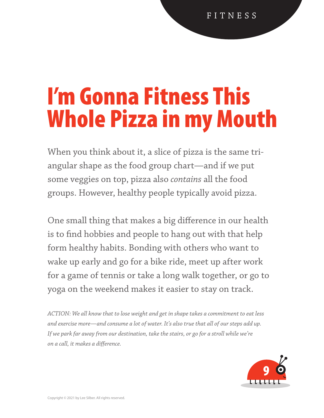#### I'm Gonna Fitness This Whole Pizza in my Mouth

When you think about it, a slice of pizza is the same triangular shape as the food group chart—and if we put some veggies on top, pizza also *contains* all the food groups. However, healthy people typically avoid pizza.

One small thing that makes a big difference in our health is to find hobbies and people to hang out with that help form healthy habits. Bonding with others who want to wake up early and go for a bike ride, meet up after work for a game of tennis or take a long walk together, or go to yoga on the weekend makes it easier to stay on track.

*ACTION: We all know that to lose weight and get in shape takes a commitment to eat less and exercise more—and consume a lot of water. It's also true that all of our steps add up. If we park far away from our destination, take the stairs, or go for a stroll while we're on a call, it makes a difference.*

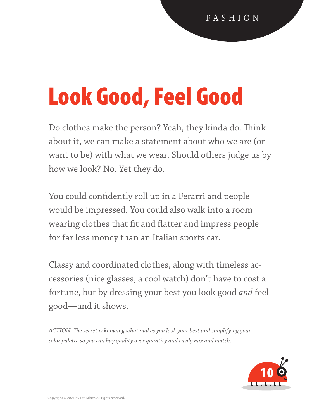# Look Good, Feel Good

Do clothes make the person? Yeah, they kinda do. Think about it, we can make a statement about who we are (or want to be) with what we wear. Should others judge us by how we look? No. Yet they do.

You could confidently roll up in a Ferarri and people would be impressed. You could also walk into a room wearing clothes that fit and flatter and impress people for far less money than an Italian sports car.

Classy and coordinated clothes, along with timeless accessories (nice glasses, a cool watch) don't have to cost a fortune, but by dressing your best you look good *and* feel good—and it shows.

*ACTION: The secret is knowing what makes you look your best and simplifying your color palette so you can buy quality over quantity and easily mix and match.*

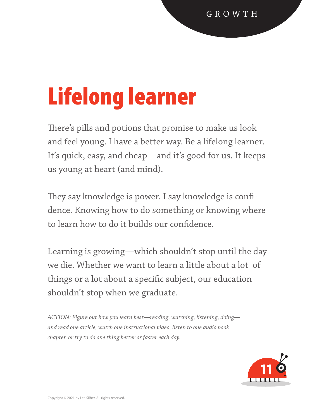# Lifelong learner

There's pills and potions that promise to make us look and feel young. I have a better way. Be a lifelong learner. It's quick, easy, and cheap—and it's good for us. It keeps us young at heart (and mind).

They say knowledge is power. I say knowledge is confidence. Knowing how to do something or knowing where to learn how to do it builds our confidence.

Learning is growing—which shouldn't stop until the day we die. Whether we want to learn a little about a lot of things or a lot about a specific subject, our education shouldn't stop when we graduate.

*ACTION: Figure out how you learn best—reading, watching, listening, doing and read one article, watch one instructional video, listen to one audio book chapter, or try to do one thing better or faster each day.*

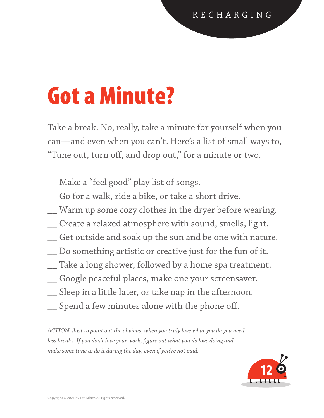#### Got a Minute?

Take a break. No, really, take a minute for yourself when you can—and even when you can't. Here's a list of small ways to, "Tune out, turn off, and drop out," for a minute or two.

- \_\_ Make a "feel good" play list of songs.
- \_\_ Go for a walk, ride a bike, or take a short drive.
- \_\_ Warm up some cozy clothes in the dryer before wearing.
- \_\_ Create a relaxed atmosphere with sound, smells, light.
- \_\_ Get outside and soak up the sun and be one with nature.
- \_\_ Do something artistic or creative just for the fun of it.
- \_\_ Take a long shower, followed by a home spa treatment.
- \_\_ Google peaceful places, make one your screensaver.
- \_\_ Sleep in a little later, or take nap in the afternoon.
- \_\_ Spend a few minutes alone with the phone off.

*ACTION: Just to point out the obvious, when you truly love what you do you need less breaks. If you don't love your work, figure out what you do love doing and make some time to do it during the day, even if you're not paid.*

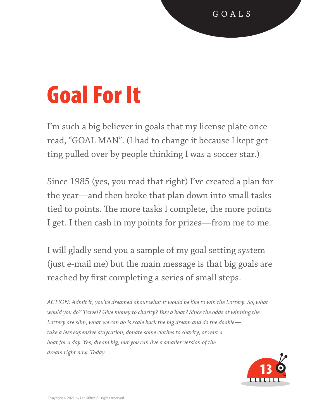# Goal For It

I'm such a big believer in goals that my license plate once read, "GOAL MAN". (I had to change it because I kept getting pulled over by people thinking I was a soccer star.)

Since 1985 (yes, you read that right) I've created a plan for the year—and then broke that plan down into small tasks tied to points. The more tasks I complete, the more points I get. I then cash in my points for prizes—from me to me.

I will gladly send you a sample of my goal setting system (just e-mail me) but the main message is that big goals are reached by first completing a series of small steps.

*ACTION: Admit it, you've dreamed about what it would be like to win the Lottery. So, what would you do? Travel? Give money to charity? Buy a boat? Since the odds of winning the Lottery are slim, what we can do is scale back the big dream and do the doable take a less expensive staycation, donate some clothes to charity, or rent a boat for a day. Yes, dream big, but you can live a smaller version of the dream right now. Today.* 

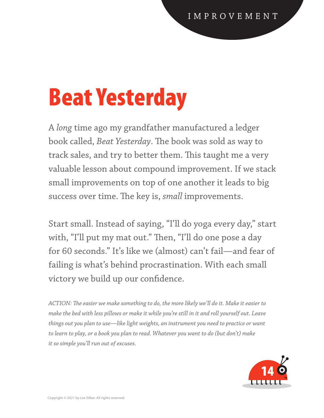### Beat Yesterday

A *long* time ago my grandfather manufactured a ledger book called, *Beat Yesterday*. The book was sold as way to track sales, and try to better them. This taught me a very valuable lesson about compound improvement. If we stack small improvements on top of one another it leads to big success over time. The key is, *small* improvements.

Start small. Instead of saying, "I'll do yoga every day," start with, "I'll put my mat out." Then, "I'll do one pose a day for 60 seconds." It's like we (almost) can't fail—and fear of failing is what's behind procrastination. With each small victory we build up our confidence.

*ACTION: The easier we make something to do, the more likely we'll do it. Make it easier to make the bed with less pillows or make it while you're still in it and roll yourself out. Leave things out you plan to use—like light weights, an instrument you need to practice or want to learn to play, or a book you plan to read. Whatever you want to do (but don't) make it so simple you'll run out of excuses.*

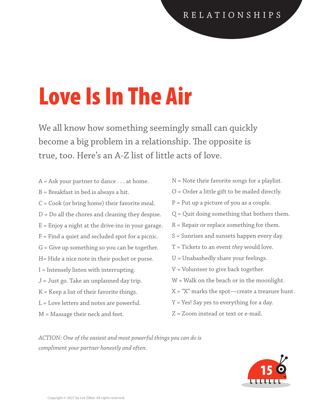# Love Is In The Air

We all know how something seemingly small can quickly become a big problem in a relationship. The opposite is true, too. Here's an A-Z list of little acts of love.

- A = Ask your partner to dance . . . at home. B = Breakfast in bed is always a hit. C = Cook (or bring home) their favorite meal. D = Do all the chores and cleaning they despise.  $E =$  Enjoy a night at the drive-ins in your garage. F = Find a quiet and secluded spot for a picnic. G = Give up something so you can be together. H= Hide a nice note in their pocket or purse. I = Intensely listen with interrupting. J = Just go. Take an unplanned day trip. K = Keep a list of their favorite things. L = Love letters and notes are powerful.
- M = Massage their neck and feet.
- N = Note their favorite songs for a playlist. O = Order a little gift to be mailed directly.  $P = Put up a picture of you as a couple.$ Q = Quit doing something that bothers them.  $R$  = Repair or replace something for them. S = Sunrises and sunsets happen every day. T = Tickets to an event *they* would love. U = Unabashedly share your feelings. V = Volunteer to give back together. W = Walk on the beach or in the moonlight.  $X = "X"$  marks the spot-create a treasure hunt. Y = Yes! Say yes to everything for a day.
- Z = Zoom instead or text or e-mail.

*ACTION: One of the easiest and most powerful things you can do is compliment your partner honestly and often.*

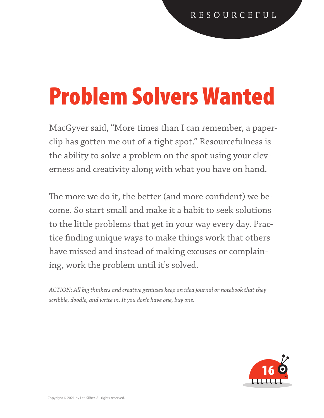### Problem Solvers Wanted

MacGyver said, "More times than I can remember, a paperclip has gotten me out of a tight spot." Resourcefulness is the ability to solve a problem on the spot using your cleverness and creativity along with what you have on hand.

The more we do it, the better (and more confident) we become. So start small and make it a habit to seek solutions to the little problems that get in your way every day. Practice finding unique ways to make things work that others have missed and instead of making excuses or complaining, work the problem until it's solved.

*ACTION: All big thinkers and creative geniuses keep an idea journal or notebook that they scribble, doodle, and write in. It you don't have one, buy one.* 

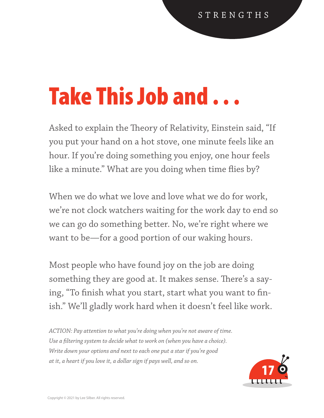### Take This Job and . . .

Asked to explain the Theory of Relativity, Einstein said, "If you put your hand on a hot stove, one minute feels like an hour. If you're doing something you enjoy, one hour feels like a minute." What are you doing when time flies by?

When we do what we love and love what we do for work, we're not clock watchers waiting for the work day to end so we can go do something better. No, we're right where we want to be—for a good portion of our waking hours.

Most people who have found joy on the job are doing something they are good at. It makes sense. There's a saying, "To finish what you start, start what you want to finish." We'll gladly work hard when it doesn't feel like work.

*ACTION: Pay attention to what you're doing when you're not aware of time. Use a filtering system to decide what to work on (when you have a choice). Write down your options and next to each one put a star if you're good at it, a heart if you love it, a dollar sign if pays well, and so on.* 

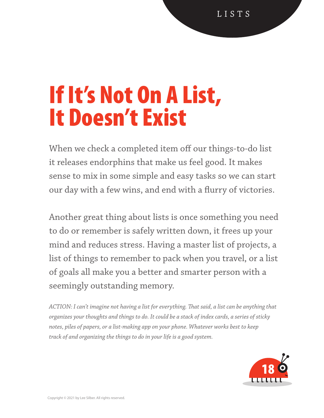L I S T S

#### If It's Not On A List, It Doesn't Exist

When we check a completed item off our things-to-do list it releases endorphins that make us feel good. It makes sense to mix in some simple and easy tasks so we can start our day with a few wins, and end with a flurry of victories.

Another great thing about lists is once something you need to do or remember is safely written down, it frees up your mind and reduces stress. Having a master list of projects, a list of things to remember to pack when you travel, or a list of goals all make you a better and smarter person with a seemingly outstanding memory.

*ACTION: I can't imagine not having a list for everything. That said, a list can be anything that organizes your thoughts and things to do. It could be a stack of index cards, a series of sticky notes, piles of papers, or a list-making app on your phone. Whatever works best to keep track of and organizing the things to do in your life is a good system.* 

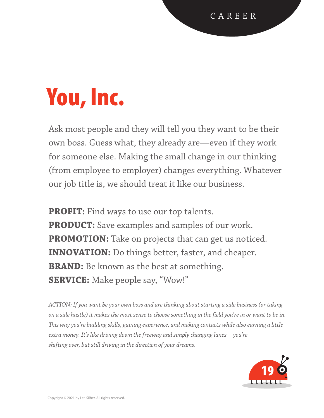# You, Inc.

Ask most people and they will tell you they want to be their own boss. Guess what, they already are—even if they work for someone else. Making the small change in our thinking (from employee to employer) changes everything. Whatever our job title is, we should treat it like our business.

**PROFIT:** Find ways to use our top talents. **PRODUCT:** Save examples and samples of our work. **PROMOTION:** Take on projects that can get us noticed. **INNOVATION:** Do things better, faster, and cheaper. **BRAND:** Be known as the best at something. **SERVICE:** Make people say, "Wow!"

*ACTION: If you want be your own boss and are thinking about starting a side business (or taking on a side hustle) it makes the most sense to choose something in the field you're in or want to be in. This way you're building skills, gaining experience, and making contacts while also earning a little extra money. It's like driving down the freeway and simply changing lanes—you're shifting over, but still driving in the direction of your dreams.* 

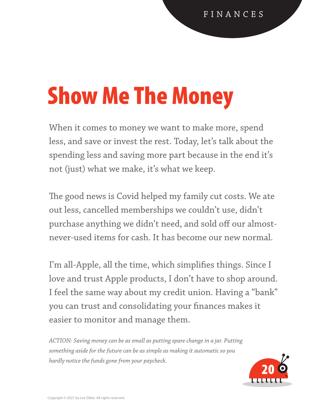# Show Me The Money

When it comes to money we want to make more, spend less, and save or invest the rest. Today, let's talk about the spending less and saving more part because in the end it's not (just) what we make, it's what we keep.

The good news is Covid helped my family cut costs. We ate out less, cancelled memberships we couldn't use, didn't purchase anything we didn't need, and sold off our almostnever-used items for cash. It has become our new normal.

I'm all-Apple, all the time, which simplifies things. Since I love and trust Apple products, I don't have to shop around. I feel the same way about my credit union. Having a "bank" you can trust and consolidating your finances makes it easier to monitor and manage them.

*ACTION: Saving money can be as small as putting spare change in a jar. Putting something aside for the future can be as simple as making it automatic so you hardly notice the funds gone from your paycheck.* 

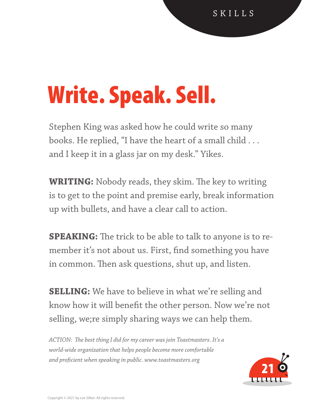# Write. Speak. Sell.

Stephen King was asked how he could write so many books. He replied, "I have the heart of a small child . . . and I keep it in a glass jar on my desk." Yikes.

**WRITING:** Nobody reads, they skim. The key to writing is to get to the point and premise early, break information up with bullets, and have a clear call to action.

**SPEAKING:** The trick to be able to talk to anyone is to remember it's not about us. First, find something you have in common. Then ask questions, shut up, and listen.

**SELLING:** We have to believe in what we're selling and know how it will benefit the other person. Now we're not selling, we;re simply sharing ways we can help them.

*ACTION: The best thing I did for my career was join Toastmasters. It's a world-wide organization that helps people become more comfortable and proficient when speaking in public. www.toastmasters.org* 

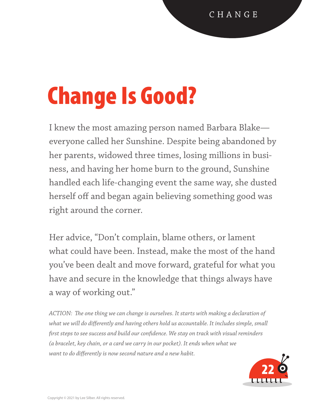# Change Is Good?

I knew the most amazing person named Barbara Blake everyone called her Sunshine. Despite being abandoned by her parents, widowed three times, losing millions in business, and having her home burn to the ground, Sunshine handled each life-changing event the same way, she dusted herself off and began again believing something good was right around the corner.

Her advice, "Don't complain, blame others, or lament what could have been. Instead, make the most of the hand you've been dealt and move forward, grateful for what you have and secure in the knowledge that things always have a way of working out."

*ACTION: The one thing we can change is ourselves. It starts with making a declaration of*  what we will do differently and having others hold us accountable. It includes simple, small *first steps to see success and build our confidence. We stay on track with visual reminders (a bracelet, key chain, or a card we carry in our pocket). It ends when what we want to do differently is now second nature and a new habit.*

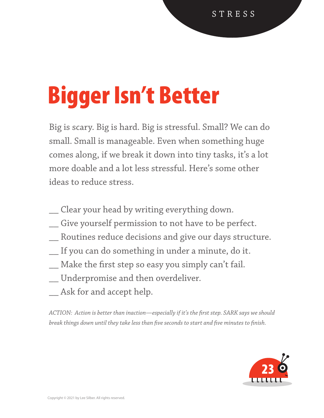# Bigger Isn't Better

Big is scary. Big is hard. Big is stressful. Small? We can do small. Small is manageable. Even when something huge comes along, if we break it down into tiny tasks, it's a lot more doable and a lot less stressful. Here's some other ideas to reduce stress.

- \_\_ Clear your head by writing everything down.
- \_\_ Give yourself permission to not have to be perfect.
- \_\_ Routines reduce decisions and give our days structure.
- \_\_ If you can do something in under a minute, do it.
- \_\_ Make the first step so easy you simply can't fail.
- \_\_ Underpromise and then overdeliver.
- \_\_ Ask for and accept help.

*ACTION: Action is better than inaction—especially if it's the first step. SARK says we should break things down until they take less than five seconds to start and five minutes to finish.* 

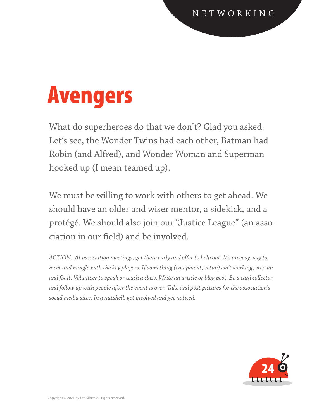### Avengers

What do superheroes do that we don't? Glad you asked. Let's see, the Wonder Twins had each other, Batman had Robin (and Alfred), and Wonder Woman and Superman hooked up (I mean teamed up).

We must be willing to work with others to get ahead. We should have an older and wiser mentor, a sidekick, and a protégé. We should also join our "Justice League" (an association in our field) and be involved.

*ACTION: At association meetings, get there early and offer to help out. It's an easy way to meet and mingle with the key players. If something (equipment, setup) isn't working, step up and fix it. Volunteer to speak or teach a class. Write an article or blog post. Be a card collector and follow up with people after the event is over. Take and post pictures for the association's social media sites. In a nutshell, get involved and get noticed.* 

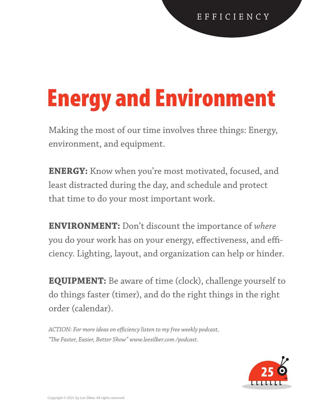# Energy and Environment

Making the most of our time involves three things: Energy, environment, and equipment.

**ENERGY:** Know when you're most motivated, focused, and least distracted during the day, and schedule and protect that time to do your most important work.

**ENVIRONMENT:** Don't discount the importance of *where* you do your work has on your energy, effectiveness, and efficiency. Lighting, layout, and organization can help or hinder.

**EQUIPMENT:** Be aware of time (clock), challenge yourself to do things faster (timer), and do the right things in the right order (calendar).

*ACTION: For more ideas on efficiency listen to my free weekly podcast, "The Faster, Easier, Better Show" www.leesilber.com /podcast.* 

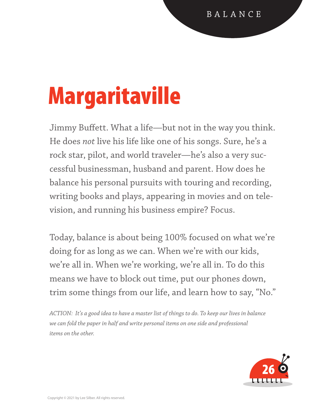# Margaritaville

Jimmy Buffett. What a life—but not in the way you think. He does *not* live his life like one of his songs. Sure, he's a rock star, pilot, and world traveler—he's also a very successful businessman, husband and parent. How does he balance his personal pursuits with touring and recording, writing books and plays, appearing in movies and on television, and running his business empire? Focus.

Today, balance is about being 100% focused on what we're doing for as long as we can. When we're with our kids, we're all in. When we're working, we're all in. To do this means we have to block out time, put our phones down, trim some things from our life, and learn how to say, "No."

*ACTION: It's a good idea to have a master list of things to do. To keep our lives in balance we can fold the paper in half and write personal items on one side and professional items on the other.* 

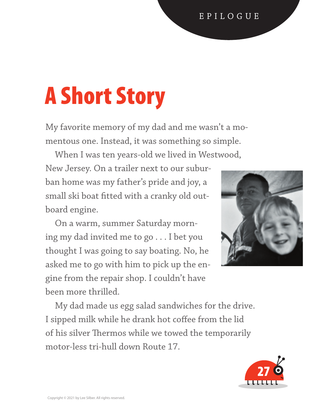#### E P I L O G U E

# A Short Story

My favorite memory of my dad and me wasn't a momentous one. Instead, it was something so simple.

When I was ten years-old we lived in Westwood,

New Jersey. On a trailer next to our suburban home was my father's pride and joy, a small ski boat fitted with a cranky old outboard engine.

 On a warm, summer Saturday morning my dad invited me to go . . . I bet you thought I was going to say boating. No, he asked me to go with him to pick up the engine from the repair shop. I couldn't have been more thrilled.



 My dad made us egg salad sandwiches for the drive. I sipped milk while he drank hot coffee from the lid of his silver Thermos while we towed the temporarily motor-less tri-hull down Route 17.

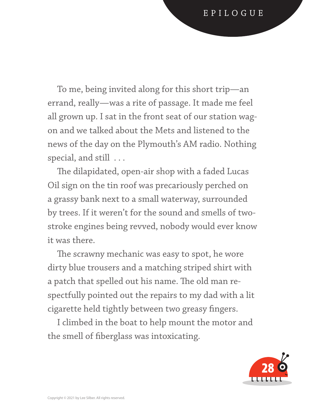To me, being invited along for this short trip—an errand, really—was a rite of passage. It made me feel all grown up. I sat in the front seat of our station wagon and we talked about the Mets and listened to the news of the day on the Plymouth's AM radio. Nothing special, and still . . .

 The dilapidated, open-air shop with a faded Lucas Oil sign on the tin roof was precariously perched on a grassy bank next to a small waterway, surrounded by trees. If it weren't for the sound and smells of twostroke engines being revved, nobody would ever know it was there.

 The scrawny mechanic was easy to spot, he wore dirty blue trousers and a matching striped shirt with a patch that spelled out his name. The old man respectfully pointed out the repairs to my dad with a lit cigarette held tightly between two greasy fingers.

 I climbed in the boat to help mount the motor and the smell of fiberglass was intoxicating.

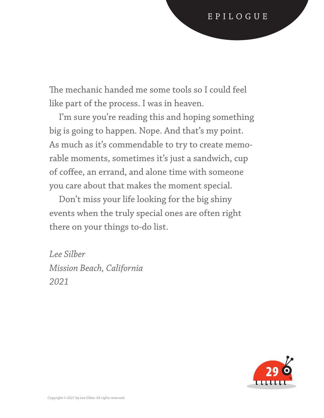The mechanic handed me some tools so I could feel like part of the process. I was in heaven.

 I'm sure you're reading this and hoping something big is going to happen. Nope. And that's my point. As much as it's commendable to try to create memorable moments, sometimes it's just a sandwich, cup of coffee, an errand, and alone time with someone you care about that makes the moment special.

 Don't miss your life looking for the big shiny events when the truly special ones are often right there on your things to-do list.

*Lee Silber Mission Beach, California 2021*

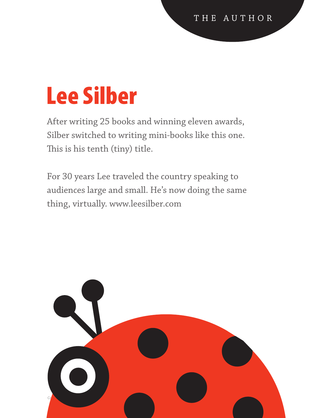### Lee Silber

After writing 25 books and winning eleven awards, Silber switched to writing mini-books like this one. This is his tenth (tiny) title.

For 30 years Lee traveled the country speaking to audiences large and small. He's now doing the same thing, virtually. www.leesilber.com

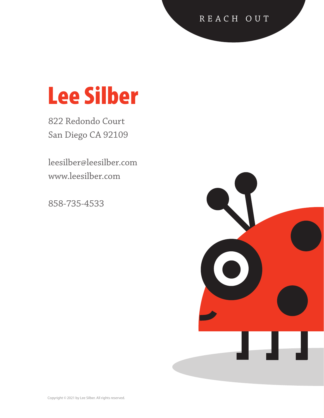#### R E A C H O U T

#### Lee Silber

822 Redondo Court San Diego CA 92109

leesilber@leesilber.com www.leesilber.com

858-735-4533